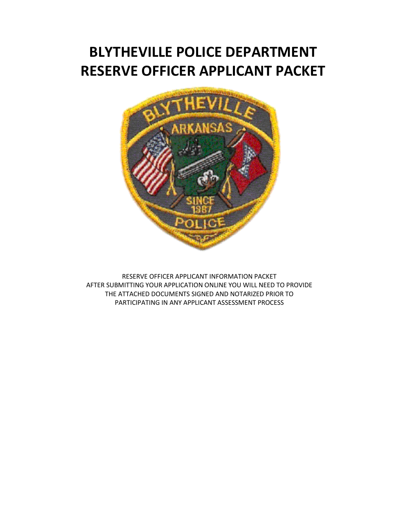# **BLYTHEVILLE POLICE DEPARTMENT RESERVE OFFICER APPLICANT PACKET**



RESERVE OFFICER APPLICANT INFORMATION PACKET AFTER SUBMITTING YOUR APPLICATION ONLINE YOU WILL NEED TO PROVIDE THE ATTACHED DOCUMENTS SIGNED AND NOTARIZED PRIOR TO PARTICIPATING IN ANY APPLICANT ASSESSMENT PROCESS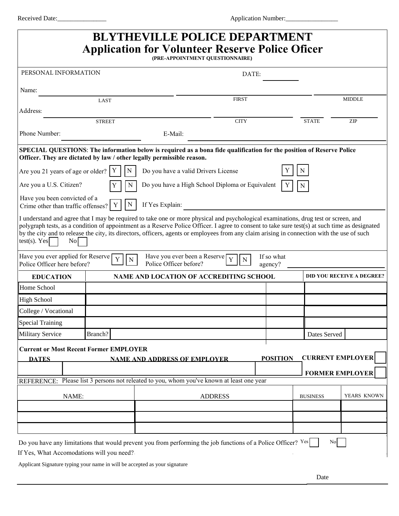| <b>BLYTHEVILLE POLICE DEPARTMENT</b><br><b>Application for Volunteer Reserve Police Oficer</b><br>(PRE-APPOINTMENT QUESTIONNAIRE)                                                                                                                                                                                                                                                                                                                                         |                |                                                                                |                                                 |                       |                                  |                         |  |
|---------------------------------------------------------------------------------------------------------------------------------------------------------------------------------------------------------------------------------------------------------------------------------------------------------------------------------------------------------------------------------------------------------------------------------------------------------------------------|----------------|--------------------------------------------------------------------------------|-------------------------------------------------|-----------------------|----------------------------------|-------------------------|--|
| PERSONAL INFORMATION                                                                                                                                                                                                                                                                                                                                                                                                                                                      |                |                                                                                | DATE:                                           |                       |                                  |                         |  |
| Name:                                                                                                                                                                                                                                                                                                                                                                                                                                                                     |                |                                                                                |                                                 |                       |                                  |                         |  |
|                                                                                                                                                                                                                                                                                                                                                                                                                                                                           | <b>LAST</b>    |                                                                                | <b>FIRST</b>                                    |                       |                                  | <b>MIDDLE</b>           |  |
| Address:                                                                                                                                                                                                                                                                                                                                                                                                                                                                  |                |                                                                                |                                                 |                       |                                  |                         |  |
|                                                                                                                                                                                                                                                                                                                                                                                                                                                                           | <b>STREET</b>  |                                                                                | <b>CITY</b>                                     |                       | <b>STATE</b>                     | ZIP                     |  |
| Phone Number:                                                                                                                                                                                                                                                                                                                                                                                                                                                             |                | E-Mail:                                                                        |                                                 |                       |                                  |                         |  |
| SPECIAL QUESTIONS: The information below is required as a bona fide qualification for the position of Reserve Police<br>Officer. They are dictated by law / other legally permissible reason.                                                                                                                                                                                                                                                                             |                |                                                                                |                                                 |                       |                                  |                         |  |
| Are you 21 years of age or older?                                                                                                                                                                                                                                                                                                                                                                                                                                         |                | Do you have a valid Drivers License                                            |                                                 |                       |                                  |                         |  |
| Are you a U.S. Citizen?                                                                                                                                                                                                                                                                                                                                                                                                                                                   | N              |                                                                                | Do you have a High School Diploma or Equivalent | Y                     | N                                |                         |  |
| Have you been convicted of a<br>Crime other than traffic offenses?                                                                                                                                                                                                                                                                                                                                                                                                        | Ν              | If Yes Explain:                                                                |                                                 |                       |                                  |                         |  |
| I understand and agree that I may be required to take one or more physical and psychological examinations, drug test or screen, and<br>polygraph tests, as a condition of appointment as a Reserve Police Officer. I agree to consent to take sure test(s) at such time as designated<br>by the city and to release the city, its directors, officers, agents or employees from any claim arising in connection with the use of such<br>$test(s)$ . Yes<br>N <sub>0</sub> |                |                                                                                |                                                 |                       |                                  |                         |  |
| Have you ever applied for Reserve<br>Police Officer here before?                                                                                                                                                                                                                                                                                                                                                                                                          | $\overline{N}$ | Have you ever been a Reserve<br>Police Officer before?                         | Y<br>N                                          | If so what<br>agency? |                                  |                         |  |
| <b>EDUCATION</b>                                                                                                                                                                                                                                                                                                                                                                                                                                                          |                | NAME AND LOCATION OF ACCREDITING SCHOOL                                        |                                                 |                       | <b>DID YOU RECEIVE A DEGREE?</b> |                         |  |
| Home School                                                                                                                                                                                                                                                                                                                                                                                                                                                               |                |                                                                                |                                                 |                       |                                  |                         |  |
| <b>High School</b>                                                                                                                                                                                                                                                                                                                                                                                                                                                        |                |                                                                                |                                                 |                       |                                  |                         |  |
| College / Vocational                                                                                                                                                                                                                                                                                                                                                                                                                                                      |                |                                                                                |                                                 |                       |                                  |                         |  |
| <b>Special Training</b>                                                                                                                                                                                                                                                                                                                                                                                                                                                   |                |                                                                                |                                                 |                       |                                  |                         |  |
| <b>Military Service</b>                                                                                                                                                                                                                                                                                                                                                                                                                                                   | Branch?        |                                                                                |                                                 |                       | Dates Served                     |                         |  |
| <b>Current or Most Recent Former EMPLOYER</b><br><b>DATES</b>                                                                                                                                                                                                                                                                                                                                                                                                             |                | <b>NAME AND ADDRESS OF EMPLOYER</b>                                            |                                                 | <b>POSITION</b>       |                                  | <b>CURRENT EMPLOYER</b> |  |
| <b>REFERENCE:</b>                                                                                                                                                                                                                                                                                                                                                                                                                                                         |                | Please list 3 persons not releated to you, whom you've known at least one year |                                                 |                       |                                  | <b>FORMER EMPLOYER</b>  |  |
|                                                                                                                                                                                                                                                                                                                                                                                                                                                                           |                |                                                                                |                                                 |                       |                                  |                         |  |
| NAME:                                                                                                                                                                                                                                                                                                                                                                                                                                                                     |                |                                                                                | <b>ADDRESS</b>                                  |                       | <b>BUSINESS</b>                  | YEARS KNOWN             |  |
|                                                                                                                                                                                                                                                                                                                                                                                                                                                                           |                |                                                                                |                                                 |                       |                                  |                         |  |
|                                                                                                                                                                                                                                                                                                                                                                                                                                                                           |                |                                                                                |                                                 |                       |                                  |                         |  |
|                                                                                                                                                                                                                                                                                                                                                                                                                                                                           |                |                                                                                |                                                 |                       |                                  |                         |  |
| Do you have any limitations that would prevent you from performing the job functions of a Police Officer? Yes<br>If Yes, What Accomodations will you need?                                                                                                                                                                                                                                                                                                                |                |                                                                                |                                                 |                       | No                               |                         |  |

Applicant Signature typing your name in will be accepted as your signature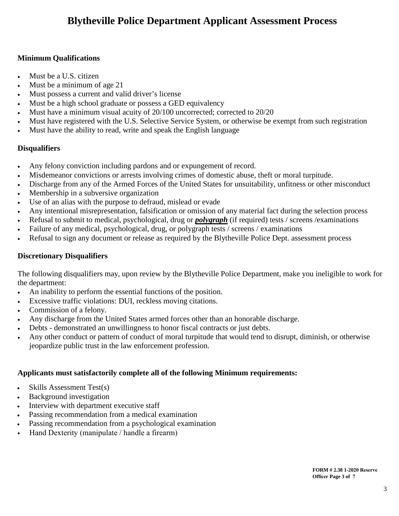### **Blytheville Police Department Applicant Assessment Process**

### **Minimum Qualifications**

- Must be a U.S. citizen
- Must be a minimum of age 21
- Must possess a current and valid driver's license
- Must be a high school graduate or possess a GED equivalency
- Must have a minimum visual acuity of 20/100 uncorrected; corrected to 20/20
- Must have registered with the U.S. Selective Service System, or otherwise be exempt from such registration
- Must have the ability to read, write and speak the English language

#### **Disqualifiers**

- Any felony conviction including pardons and or expungement of record.
- Misdemeanor convictions or arrests involving crimes of domestic abuse, theft or moral turpitude.
- Discharge from any of the Armed Forces of the United States for unsuitability, unfitness or other misconduct
- Membership in a subversive organization
- Use of an alias with the purpose to defraud, mislead or evade
- Any intentional misrepresentation, falsification or omission of any material fact during the selection process
- Refusal to submit to medical, psychological, drug or *polygraph* (if required) tests / screens /examinations
- Failure of any medical, psychological, drug, or polygraph tests / screens / examinations
- Refusal to sign any document or release as required by the Blytheville Police Dept. assessment process

### **Discretionary Disqualifiers**

The following disqualifiers may, upon review by the Blytheville Police Department, make you ineligible to work for the department:

- An inability to perform the essential functions of the position.
- Excessive traffic violations: DUI, reckless moving citations.
- Commission of a felony.
- Any discharge from the United States armed forces other than an honorable discharge.
- Debts demonstrated an unwillingness to honor fiscal contracts or just debts.
- Any other conduct or pattern of conduct of moral turpitude that would tend to disrupt, diminish, or otherwise jeopardize public trust in the law enforcement profession.

#### **Applicants must satisfactorily complete all of the following Minimum requirements:**

- Skills Assessment Test(s)
- Background investigation
- Interview with department executive staff
- Passing recommendation from a medical examination
- Passing recommendation from a psychological examination
- Hand Dexterity (manipulate / handle a firearm)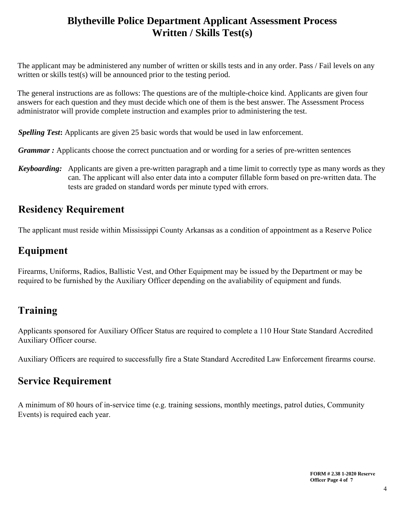### **Blytheville Police Department Applicant Assessment Process Written / Skills Test(s)**

The applicant may be administered any number of written or skills tests and in any order. Pass / Fail levels on any written or skills test(s) will be announced prior to the testing period.

The general instructions are as follows: The questions are of the multiple-choice kind. Applicants are given four answers for each question and they must decide which one of them is the best answer. The Assessment Process administrator will provide complete instruction and examples prior to administering the test.

**Spelling Test:** Applicants are given 25 basic words that would be used in law enforcement.

*Grammar* : Applicants choose the correct punctuation and or wording for a series of pre-written sentences

*Keyboarding:*Applicants are given a pre-written paragraph and a time limit to correctly type as many words as they can. The applicant will also enter data into a computer fillable form based on pre-written data. The tests are graded on standard words per minute typed with errors.

### **Residency Requirement**

The applicant must reside within Mississippi County Arkansas as a condition of appointment as a Reserve Police

### **Equipment**

Firearms, Uniforms, Radios, Ballistic Vest, and Other Equipment may be issued by the Department or may be required to be furnished by the Auxiliary Officer depending on the avaliability of equipment and funds.

## **Training**

Applicants sponsored for Auxiliary Officer Status are required to complete a 110 Hour State Standard Accredited Auxiliary Officer course.

Auxiliary Officers are required to successfully fire a State Standard Accredited Law Enforcement firearms course.

### **Service Requirement**

A minimum of 80 hours of in-service time (e.g. training sessions, monthly meetings, patrol duties, Community Events) is required each year.

> **FORM # 2.38 1-2020 Reserve Officer Page 4 of 7**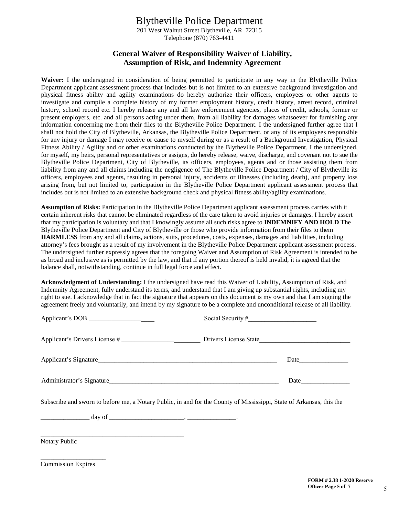### Blytheville Police Department

201 West Walnut Street Blytheville, AR 72315 Telephone (870) 763-4411

#### **General Waiver of Responsibility Waiver of Liability, Assumption of Risk, and Indemnity Agreement**

**Waiver:** I the undersigned in consideration of being permitted to participate in any way in the Blytheville Police Department applicant assessment process that includes but is not limited to an extensive background investigation and physical fitness ability and agility examinations do hereby authorize their officers, employees or other agents to investigate and compile a complete history of my former employment history, credit history, arrest record, criminal history, school record etc. I hereby release any and all law enforcement agencies, places of credit, schools, former or present employers, etc. and all persons acting under them, from all liability for damages whatsoever for furnishing any information concerning me from their files to the Blytheville Police Department. I the undersigned further agree that I shall not hold the City of Blytheville, Arkansas, the Blytheville Police Department, or any of its employees responsible for any injury or damage I may receive or cause to myself during or as a result of a Background Investigation, Physical Fitness Ability / Agility and or other examinations conducted by the Blytheville Police Department. I the undersigned, for myself, my heirs, personal representatives or assigns, do hereby release, waive, discharge, and covenant not to sue the Blytheville Police Department, City of Blytheville, its officers, employees, agents and or those assisting them from liability from any and all claims including the negligence of The Blytheville Police Department / City of Blytheville its officers, employees and agents**,** resulting in personal injury, accidents or illnesses (including death), and property loss arising from, but not limited to, participation in the Blytheville Police Department applicant assessment process that includes but is not limited to an extensive background check and physical fitness ability/agility examinations.

**Assumption of Risks:** Participation in the Blytheville Police Department applicant assessment process carries with it certain inherent risks that cannot be eliminated regardless of the care taken to avoid injuries or damages. I hereby assert that my participation is voluntary and that I knowingly assume all such risks agree to **INDEMNIFY AND HOLD** The Blytheville Police Department and City of Blytheville or those who provide information from their files to them **HARMLESS** from any and all claims, actions, suits, procedures, costs, expenses, damages and liabilities, including attorney's fees brought as a result of my involvement in the Blytheville Police Department applicant assessment process. The undersigned further expressly agrees that the foregoing Waiver and Assumption of Risk Agreement is intended to be as broad and inclusive as is permitted by the law, and that if any portion thereof is held invalid, it is agreed that the balance shall, notwithstanding, continue in full legal force and effect.

**Acknowledgment of Understanding:** I the undersigned have read this Waiver of Liability, Assumption of Risk, and Indemnity Agreement, fully understand its terms, and understand that I am giving up substantial rights, including my right to sue. I acknowledge that in fact the signature that appears on this document is my own and that I am signing the agreement freely and voluntarily, and intend by my signature to be a complete and unconditional release of all liability.

| Applicant's DOB                                                                                                      |                                                                                                                                                                                                                               |
|----------------------------------------------------------------------------------------------------------------------|-------------------------------------------------------------------------------------------------------------------------------------------------------------------------------------------------------------------------------|
|                                                                                                                      |                                                                                                                                                                                                                               |
|                                                                                                                      |                                                                                                                                                                                                                               |
|                                                                                                                      | Date and the same state of the state of the state of the state of the state of the state of the state of the state of the state of the state of the state of the state of the state of the state of the state of the state of |
| Subscribe and sworn to before me, a Notary Public, in and for the County of Mississippi, State of Arkansas, this the |                                                                                                                                                                                                                               |
|                                                                                                                      |                                                                                                                                                                                                                               |
| Notary Public                                                                                                        |                                                                                                                                                                                                                               |

Commission Expires

5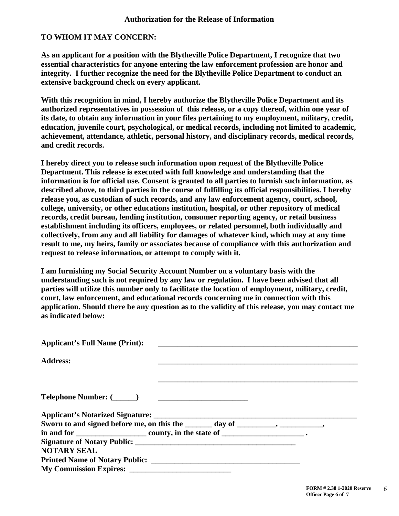#### **TO WHOM IT MAY CONCERN:**

**As an applicant for a position with the Blytheville Police Department, I recognize that two essential characteristics for anyone entering the law enforcement profession are honor and integrity. I further recognize the need for the Blytheville Police Department to conduct an extensive background check on every applicant.** 

**With this recognition in mind, I hereby authorize the Blytheville Police Department and its authorized representatives in possession of this release, or a copy thereof, within one year of its date, to obtain any information in your files pertaining to my employment, military, credit, education, juvenile court, psychological, or medical records, including not limited to academic, achievement, attendance, athletic, personal history, and disciplinary records, medical records, and credit records.** 

**I hereby direct you to release such information upon request of the Blytheville Police Department. This release is executed with full knowledge and understanding that the information is for official use. Consent is granted to all parties to furnish such information, as described above, to third parties in the course of fulfilling its official responsibilities. I hereby release you, as custodian of such records, and any law enforcement agency, court, school, college, university, or other educations institution, hospital, or other repository of medical records, credit bureau, lending institution, consumer reporting agency, or retail business establishment including its officers, employees, or related personnel, both individually and collectively, from any and all liability for damages of whatever kind, which may at any time result to me, my heirs, family or associates because of compliance with this authorization and request to release information, or attempt to comply with it.** 

**I am furnishing my Social Security Account Number on a voluntary basis with the understanding such is not required by any law or regulation. I have been advised that all parties will utilize this number only to facilitate the location of employment, military, credit, court, law enforcement, and educational records concerning me in connection with this application. Should there be any question as to the validity of this release, you may contact me as indicated below:**

| <b>Applicant's Full Name (Print):</b>                                        |  |                                                                                                                       |  |  |  |
|------------------------------------------------------------------------------|--|-----------------------------------------------------------------------------------------------------------------------|--|--|--|
| <b>Address:</b>                                                              |  |                                                                                                                       |  |  |  |
|                                                                              |  |                                                                                                                       |  |  |  |
| Telephone Number: (_______)                                                  |  | <u> 1986 - Johann Barn, mars ann an t-Amhair an t-Amhair an t-Amhair an t-Amhair an t-Amhair an t-Amhair an t-Amh</u> |  |  |  |
|                                                                              |  |                                                                                                                       |  |  |  |
| Sworn to and signed before me, on this the ______ day of _______, _________, |  |                                                                                                                       |  |  |  |
|                                                                              |  |                                                                                                                       |  |  |  |
| Signature of Notary Public: New York Signature of Notary Public:             |  |                                                                                                                       |  |  |  |
| <b>NOTARY SEAL</b>                                                           |  |                                                                                                                       |  |  |  |
|                                                                              |  |                                                                                                                       |  |  |  |
|                                                                              |  |                                                                                                                       |  |  |  |